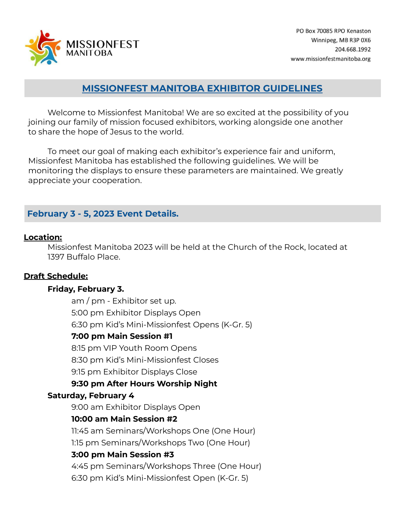

# **MISSIONFEST MANITOBA EXHIBITOR GUIDELINES**

Welcome to Missionfest Manitoba! We are so excited at the possibility of you joining our family of mission focused exhibitors, working alongside one another to share the hope of Jesus to the world.

To meet our goal of making each exhibitor's experience fair and uniform, Missionfest Manitoba has established the following guidelines. We will be monitoring the displays to ensure these parameters are maintained. We greatly appreciate your cooperation.

# **February 3 - 5, 2023 Event Details.**

#### **Location:**

Missionfest Manitoba 2023 will be held at the Church of the Rock, located at 1397 Buffalo Place.

### **Draft Schedule:**

### **Friday, February 3.**

am / pm - Exhibitor set up. 5:00 pm Exhibitor Displays Open 6:30 pm Kid's Mini-Missionfest Opens (K-Gr. 5)

### **7:00 pm Main Session #1**

8:15 pm VIP Youth Room Opens

8:30 pm Kid's Mini-Missionfest Closes

9:15 pm Exhibitor Displays Close

# **9:30 pm After Hours Worship Night**

### **Saturday, February 4**

9:00 am Exhibitor Displays Open

# **10:00 am Main Session #2**

11:45 am Seminars/Workshops One (One Hour) 1:15 pm Seminars/Workshops Two (One Hour)

# **3:00 pm Main Session #3**

4:45 pm Seminars/Workshops Three (One Hour) 6:30 pm Kid's Mini-Missionfest Open (K-Gr. 5)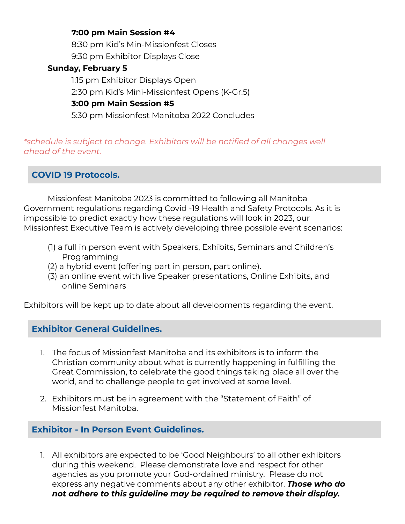## **7:00 pm Main Session #4**

8:30 pm Kid's Min-Missionfest Closes 9:30 pm Exhibitor Displays Close

## **Sunday, February 5**

1:15 pm Exhibitor Displays Open 2:30 pm Kid's Mini-Missionfest Opens (K-Gr.5) **3:00 pm Main Session #5**

5:30 pm Missionfest Manitoba 2022 Concludes

*\*schedule is subject to change. Exhibitors will be notified of all changes well ahead of the event.*

**COVID 19 Protocols.**

Missionfest Manitoba 2023 is committed to following all Manitoba Government regulations regarding Covid -19 Health and Safety Protocols. As it is impossible to predict exactly how these regulations will look in 2023, our Missionfest Executive Team is actively developing three possible event scenarios:

- (1) a full in person event with Speakers, Exhibits, Seminars and Children's Programming
- (2) a hybrid event (offering part in person, part online).
- (3) an online event with live Speaker presentations, Online Exhibits, and online Seminars

Exhibitors will be kept up to date about all developments regarding the event.

# **Exhibitor General Guidelines.**

- 1. The focus of Missionfest Manitoba and its exhibitors is to inform the Christian community about what is currently happening in fulfilling the Great Commission, to celebrate the good things taking place all over the world, and to challenge people to get involved at some level.
- 2. Exhibitors must be in agreement with the "Statement of Faith" of Missionfest Manitoba.

# **Exhibitor - In Person Event Guidelines.**

1. All exhibitors are expected to be 'Good Neighbours' to all other exhibitors during this weekend. Please demonstrate love and respect for other agencies as you promote your God-ordained ministry. Please do not express any negative comments about any other exhibitor. *Those who do not adhere to this guideline may be required to remove their display.*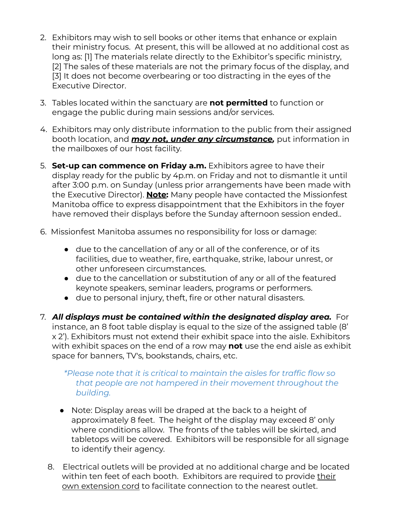- 2. Exhibitors may wish to sell books or other items that enhance or explain their ministry focus. At present, this will be allowed at no additional cost as long as: [1] The materials relate directly to the Exhibitor's specific ministry, [2] The sales of these materials are not the primary focus of the display, and [3] It does not become overbearing or too distracting in the eyes of the Executive Director.
- 3. Tables located within the sanctuary are **not permitted** to function or engage the public during main sessions and/or services.
- 4. Exhibitors may only distribute information to the public from their assigned booth location, and *may not, under any circumstance,* put information in the mailboxes of our host facility.
- 5. **Set-up can commence on Friday a.m.** Exhibitors agree to have their display ready for the public by 4p.m. on Friday and not to dismantle it until after 3:00 p.m. on Sunday (unless prior arrangements have been made with the Executive Director). **Note:** Many people have contacted the Missionfest Manitoba office to express disappointment that the Exhibitors in the foyer have removed their displays before the Sunday afternoon session ended..
- 6. Missionfest Manitoba assumes no responsibility for loss or damage:
	- due to the cancellation of any or all of the conference, or of its facilities, due to weather, fire, earthquake, strike, labour unrest, or other unforeseen circumstances.
	- due to the cancellation or substitution of any or all of the featured keynote speakers, seminar leaders, programs or performers.
	- **●** due to personal injury, theft, fire or other natural disasters.
- 7. *All displays must be contained within the designated display area.* For instance, an 8 foot table display is equal to the size of the assigned table (8' x 2'). Exhibitors must not extend their exhibit space into the aisle. Exhibitors with exhibit spaces on the end of a row may **not** use the end aisle as exhibit space for banners, TV's, bookstands, chairs, etc.

## *\*Please note that it is critical to maintain the aisles for traffic flow so that people are not hampered in their movement throughout the building.*

- Note: Display areas will be draped at the back to a height of approximately 8 feet. The height of the display may exceed 8' only where conditions allow. The fronts of the tables will be skirted, and tabletops will be covered. Exhibitors will be responsible for all signage to identify their agency.
- 8. Electrical outlets will be provided at no additional charge and be located within ten feet of each booth. Exhibitors are required to provide their own extension cord to facilitate connection to the nearest outlet.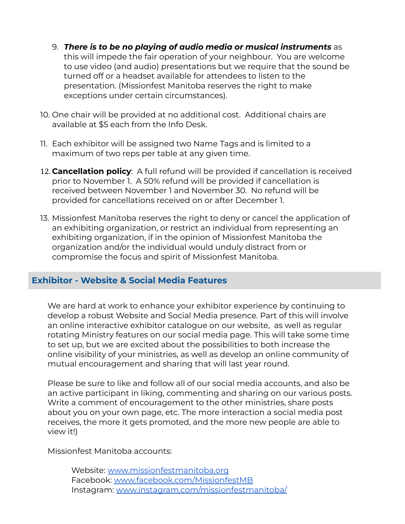- 9. *There is to be no playing of audio media or musical instruments* as this will impede the fair operation of your neighbour. You are welcome to use video (and audio) presentations but we require that the sound be turned off or a headset available for attendees to listen to the presentation. (Missionfest Manitoba reserves the right to make exceptions under certain circumstances).
- 10. One chair will be provided at no additional cost. Additional chairs are available at \$5 each from the Info Desk.
- 11. Each exhibitor will be assigned two Name Tags and is limited to a maximum of two reps per table at any given time.
- 12. **Cancellation policy**: A full refund will be provided if cancellation is received prior to November 1. A 50% refund will be provided if cancellation is received between November 1 and November 30. No refund will be provided for cancellations received on or after December 1.
- 13. Missionfest Manitoba reserves the right to deny or cancel the application of an exhibiting organization, or restrict an individual from representing an exhibiting organization, if in the opinion of Missionfest Manitoba the organization and/or the individual would unduly distract from or compromise the focus and spirit of Missionfest Manitoba.

# **Exhibitor - Website & Social Media Features**

We are hard at work to enhance your exhibitor experience by continuing to develop a robust Website and Social Media presence. Part of this will involve an online interactive exhibitor catalogue on our website, as well as regular rotating Ministry features on our social media page. This will take some time to set up, but we are excited about the possibilities to both increase the online visibility of your ministries, as well as develop an online community of mutual encouragement and sharing that will last year round.

Please be sure to like and follow all of our social media accounts, and also be an active participant in liking, commenting and sharing on our various posts. Write a comment of encouragement to the other ministries, share posts about you on your own page, etc. The more interaction a social media post receives, the more it gets promoted, and the more new people are able to view it!)

Missionfest Manitoba accounts:

Website: [www.missionfestmanitoba.org](http://www.missionfestmanitoba.org) Facebook: [www.facebook.com/MissionfestMB](http://www.facebook.com/MissionfestMB) Instagram: [www.instagram.com/missionfestmanitoba/](http://www.instagram.com/missionfestmanitoba/)